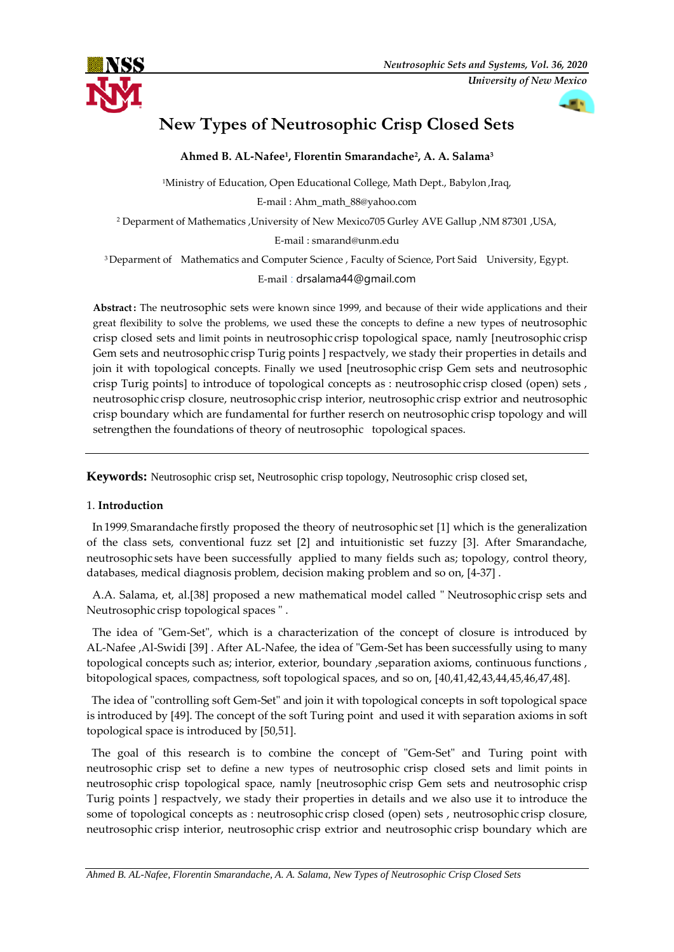

# **New Types of Neutrosophic Crisp Closed Sets**

**Ahmed B. AL-Nafee<sup>1</sup> , Florentin Smarandache<sup>2</sup> , A. A. Salama<sup>3</sup>**

<sup>1</sup>Ministry of Education, Open Educational College, Math Dept., Babylon, ,Iraq, E-mail : [Ahm\\_math\\_88@yahoo.com](mailto:Ahm_math_88@yahoo.com) <sup>2</sup> Deparment of Mathematics ,University of New Mexico705 Gurley AVE Gallup ,NM 87301 ,USA, E-mail : [smarand@unm.edu](mailto:smarand@unm.edu)

<sup>3</sup> Deparment of Mathematics and Computer Science, Faculty of Science, Port Said University, Egypt. E-mail : drsalama44@gmail.com

**Abstract.:**"The neutrosophic sets were known since 1999, and because of their wide applications and their great flexibility to solve the problems, we used these the concepts to define a new types of neutrosophic crisp closed sets and limit points in neutrosophic crisp topological space, namly [neutrosophic crisp Gem sets and neutrosophic crisp Turig points ] respactvely, we stady their properties in details and join it with topological concepts. Finally we used [neutrosophic crisp Gem sets and neutrosophic crisp Turig points] to introduce of topological concepts as : neutrosophic crisp closed (open) sets , neutrosophic crisp closure, neutrosophic crisp interior, neutrosophic crisp extrior and neutrosophic crisp boundary which are fundamental for further reserch on neutrosophic crisp topology and will setrengthen the foundations of theory of neutrosophic topological spaces.

**Keywords:** Neutrosophic crisp set, Neutrosophic crisp topology, Neutrosophic crisp closed set,

### 1. **Introduction.**-

In 1999, Smarandache firstly proposed the theory of neutrosophic set [1] which is the generalization of the class sets, conventional fuzz set [2] and intuitionistic set fuzzy [3]. After Smarandache, neutrosophic sets have been successfully, applied to many fields such as; topology, control theory, databases, medical diagnosis problem, decision making problem and so on, [4-37] .

A.A. Salama, et, al.[38] proposed a new mathematical model called " Neutrosophic crisp sets and Neutrosophic crisp topological spaces " .

The idea of "Gem-Set", which is a characterization of the concept of closure is introduced by AL-Nafee ,Al-Swidi [39] . After AL-Nafee, the idea of "Gem-Set has been successfully using to many topological concepts such as; interior, exterior, boundary , separation axioms, continuous functions , bitopological spaces, compactness, soft topological spaces, and so on, [40,41,42,43,44,45,46,47,48].

The idea of "controlling soft Gem-Set" and join it with topological concepts in soft topological space is introduced by [49]. The concept of the soft Turing point and used it with separation axioms in soft topological space is introduced by [50,51].

The goal of this research is to combine the concept of "Gem-Set" and Turing point with neutrosophic crisp set to define a new types of neutrosophic crisp closed sets and limit points in neutrosophic crisp topological space, namly [neutrosophic crisp Gem sets and neutrosophic crisp Turig points ] respactvely, we stady their properties in details and we also use it to introduce the some of topological concepts as : neutrosophic crisp closed (open) sets , neutrosophic crisp closure, neutrosophic crisp interior, neutrosophic crisp extrior and neutrosophic crisp boundary which are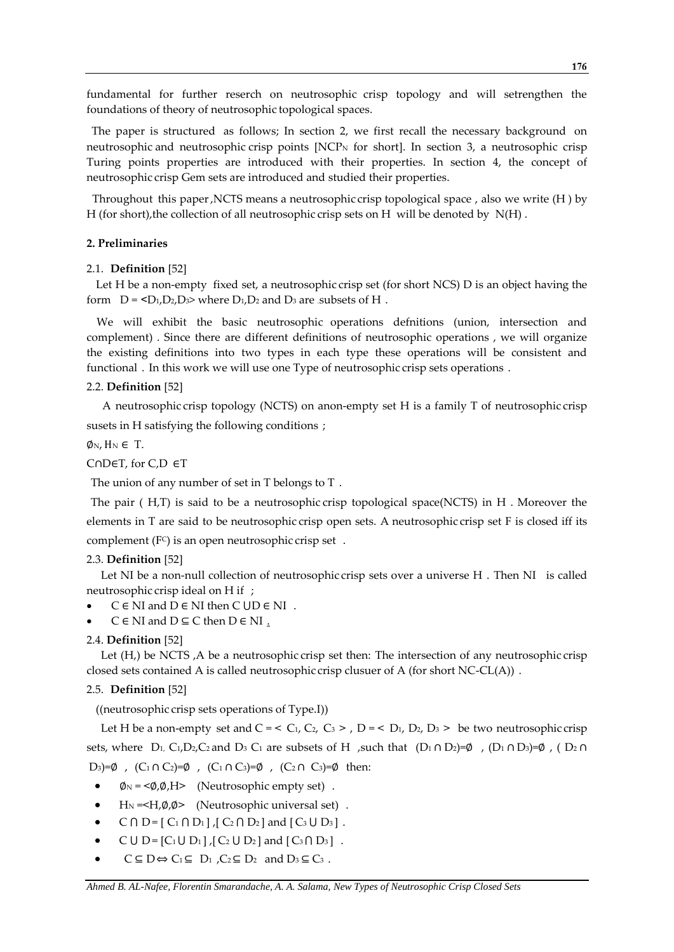fundamental for further reserch on neutrosophic crisp topology and will setrengthen the foundations of theory of neutrosophic topological spaces.

The paper is structured, as follows; In section 2, we first recall the necessary background, on neutrosophic and neutrosophic crisp points [NCP<sup>N</sup> for short]. In section 3, a neutrosophic crisp Turing points properties are introduced with their properties. In section 4, the concept of neutrosophic crisp Gem sets are introduced and studied their properties.

Throughout this paper, NCTS means a neutrosophic crisp topological space, also we write  $(H)$  by H (for short), the collection of all neutrosophic crisp sets on H will be denoted by N(H).

### **2. Preliminaries,,**

### 2.1. **Definition** [52]

Let H be a non-empty fixed set, a neutrosophic crisp set (for short NCS) D is an object having the form  $D = \langle D_1, D_2, D_3 \rangle$  where  $D_1, D_2$  and  $D_3$  are .subsets of H.

We will exhibit the basic neutrosophic operations defnitions (union, intersection and complement) . Since there are different definitions of neutrosophic operations, we will organize the existing definitions into two types in each type these operations will be consistent and functional. In this work we will use one Type of neutrosophic crisp sets operations.

### 2.2. **Definition** [52]

 "A neutrosophic crisp topology (NCTS) on anon-empty set H is a family T of neutrosophic crisp susets in H satisfying the following conditions;

 $\phi_N$ ,  $H_N \in T$ .

CODET, for C,D  $\in$ T

The union of any number of set in  $T$  belongs to  $T$ .

The pair ( H,T) is said to be a neutrosophic crisp topological space(NCTS) in H. Moreover the elements in T are said to be neutrosophic crisp open sets. A neutrosophic crisp set F is closed iff its complement  $(F<sup>C</sup>)$  is an open neutrosophic crisp set.

### 2.3. **Definition** [52]

Let NI be a non-null collection of neutrosophic crisp sets over a universe H. Then NI is called neutrosophic crisp ideal on H if ;

- $C \in NI$  and  $D \in NI$  then  $C \cup D \in NI$ .
- $C \in NI$  and  $D \subseteq C$  then  $D \in NI$ .

### 2.4. **Definition** [52]

Let  $(H)$ , be NCTS , A be a neutrosophic crisp set then: The intersection of any neutrosophic crisp closed sets contained A is called neutrosophic crisp clusuer of A (for short NC-CL(A)).

### 2.5. **Definition** [52]

((neutrosophic crisp sets operations of Type.I))

Let H be a non-empty set and  $C = \langle C_1, C_2, C_3 \rangle$ ,  $D = \langle D_1, D_2, D_3 \rangle$  be two neutrosophic crisp sets, where  $D_1$ , C<sub>1</sub>,D<sub>2</sub>,C<sub>2</sub> and D<sub>3</sub> C<sub>1</sub> are subsets of H ,such that  $(D_1 \cap D_2)=\emptyset$ ,  $(D_1 \cap D_3)=\emptyset$ ,  $(D_2 \cap D_3)=\emptyset$ D<sub>3</sub>)=Ø,  $(C_1 \cap C_2) = \emptyset$ ,  $(C_1 \cap C_3) = \emptyset$ ,  $(C_2 \cap C_3) = \emptyset$  then:

- $\phi$ <sub>N</sub> = < $\phi$ , $\phi$ ,H > (Neutrosophic empty set).
- H<sub>N</sub> =  $\langle H, \emptyset, \emptyset \rangle$  (Neutrosophic universal set) .
- $C \cap D = [ C_1 \cap D_1 ]$ ,  $[ C_2 \cap D_2 ]$  and  $[ C_3 \cup D_3 ]$ .
- $C U D = [C_1 U D_1]$ ,  $[C_2 U D_2]$  and  $[C_3 \cap D_3]$ .
- $C \subseteq D \Leftrightarrow C_1 \subseteq D_1$ ,  $C_2 \subseteq D_2$  and  $D_3 \subseteq C_3$ .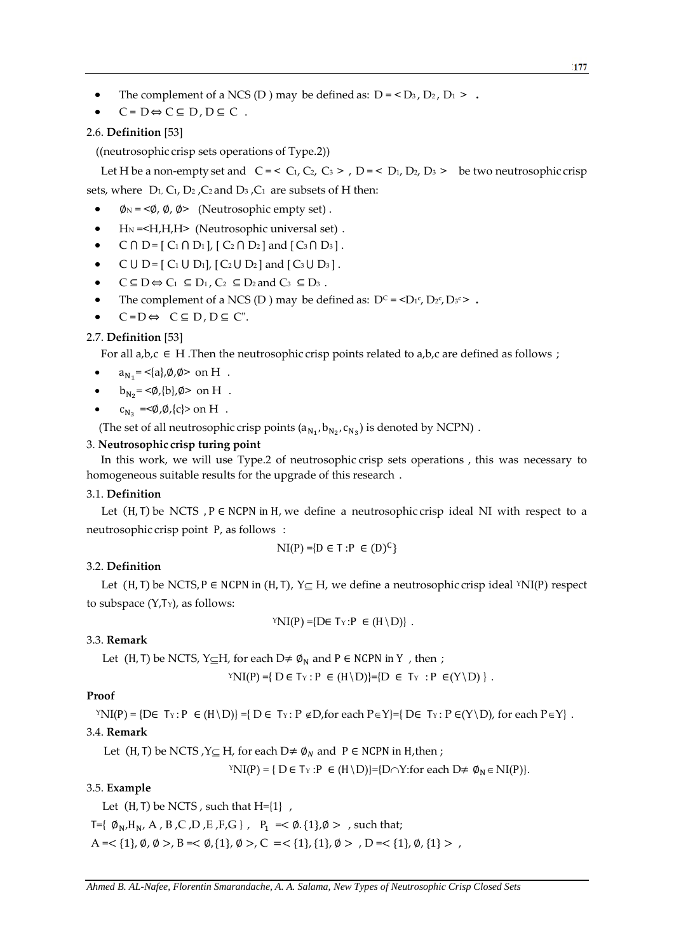- The complement of a NCS (D ) may be defined as:  $D = \langle D_3, D_2, D_1 \rangle$ .
- $C = D \Leftrightarrow C \subseteq D$ ,  $D \subseteq C$ .

### 2.6. **Definition** [53]

 $((neutrosophic crisp sets operations of Type.2))$ 

Let H be a non-empty set and  $C = \langle C_1, C_2, C_3 \rangle$ ,  $D = \langle D_1, D_2, D_3 \rangle$  be two neutrosophic crisp sets, where  $D_1$ ,  $C_1$ ,  $D_2$ ,  $C_2$  and  $D_3$ ,  $C_1$  are subsets of H then:

- $\phi$ <sub>N</sub> = < $\phi$ ,  $\phi$ ,  $\phi$  > (Neutrosophic empty set).
- H<sub>N</sub> = < H<sub>,</sub>H<sub>,</sub>H<sub>></sub> (Neutrosophic universal set).
- $C \cap D = [ C_1 \cap D_1 ]$ ,  $[ C_2 \cap D_2 ]$  and  $[ C_3 \cap D_3 ]$ .
- C U D =  $[C_1 \cup D_1]$ ,  $[C_2 \cup D_2]$  and  $[C_3 \cup D_3]$ .
- $C \subseteq D \Leftrightarrow C_1 \subseteq D_1$ ,  $C_2 \subseteq D_2$  and  $C_3 \subseteq D_3$ .
- The complement of a NCS (D ) may be defined as:  $D^c = \langle D_1c, D_2c, D_3c \rangle$ .
- $C = D \Leftrightarrow C \subseteq D$ ,  $D \subseteq C$ ".

### 2.7. **Definition** [53]

For all a,b,c  $\in$  H .Then the neutrosophic crisp points related to a,b,c are defined as follows ;

- $a_{N_1} = \langle a \rangle, \emptyset, \emptyset > \text{ on } H$ .
- $\bullet$ **b**<sub>N<sub>2</sub></sub> = < $\emptyset$ , {b}, Ø > on H.
- $\bullet$  $c_{N_2} = <\phi, \phi, \{c\} > \text{on } H$ .

(The set of all neutrosophic crisp points  $(a_{N_1}, b_{N_2}, c_{N_3})$  is denoted by NCPN).

### 3. **Neutrosophic.crisp turing point**

In this work, we will use Type.2 of neutrosophic crisp sets operations, this was necessary to homogeneous suitable results for the upgrade of this research.

### 3.1. **Definition**

Let  $(H, T)$  be NCTS ,  $P \in NCPN$  in  $H$ , we define a neutrosophic crisp ideal NI with respect to a neutrosophic crisp point P, as follows:

$$
\text{NI}(P) = \{ D \in T : P \in (D)^C \}
$$

### 3.2. **Definition**

Let  $(H, T)$  be NCTS,  $P \in NCPN$  in  $(H, T)$ ,  $Y \subseteq H$ , we define a neutrosophic crisp ideal <sup>Y</sup>NI(P) respect to subspace  $(Y,T_Y)$ , as follows:

$$
{}^{\mathrm{Y}}\mathrm{NI}(P) = \{ \mathrm{D} \in \mathrm{Ty} : \mathrm{P} \in (\mathrm{H} \setminus \mathrm{D}) \}.
$$

### 3.3. **Remark**

Let (H, T) be NCTS, Y $\subseteq$ H, for each D $\neq \emptyset_N$  and P  $\in$  NCPN in Y, then;

$$
{}^{\Upsilon}N I(P) = \{ D \in T_{\Upsilon} : P \in (H \setminus D) \} = \{ D \in T_{\Upsilon} : P \in (Y \setminus D) \}.
$$

### **Proof**

 $YNI(P) = \{DE \, Tx : P \in (H \setminus D)\} = \{DE \, Tx : P \notin D$ , for each  $P \in Y\} = \{DE \, Tx : P \in (Y \setminus D)\}$ , for each  $P \in Y\}$ .

### 3.4. **Remark**

Let (H, T) be NCTS,  $Y \subseteq H$ , for each  $D \neq \emptyset_N$  and  $P \in NCPN$  in H, then ;

 $YNI(P) = \{ D \in Tx : P \in (H \setminus D)\} = \{D \cap Y : \text{for each } D \neq \emptyset_N \in NI(P)\}.$ 

### 3.5. **Example**

Let  $(H, T)$  be NCTS, such that  $H=\{1\}$ ,

 $T=\{ \emptyset_N, H_N, A, B, C, D, E, F, G \}$ ,  $P_1 = < \emptyset$ .  $\{1\}, \emptyset >$ , such that;

 $A = \{1\}, \emptyset, \emptyset > B = \{0, \{1\}, \emptyset > C = \{1\}, \{1\}, \emptyset > D = \{1\}, \emptyset, \{1\} > A$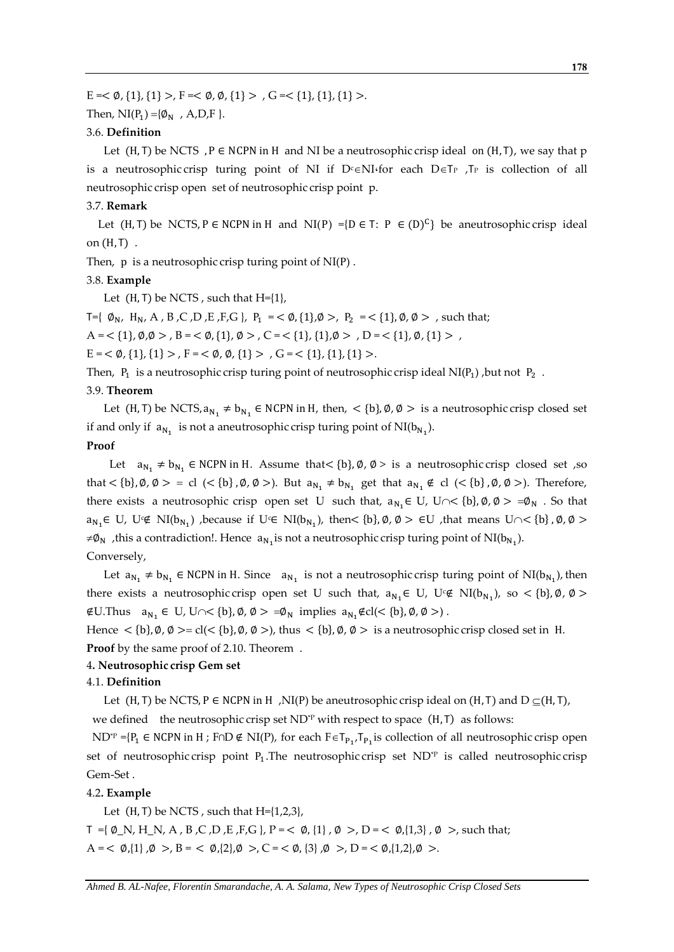$E = < \emptyset$ , {1}, {1} >,  $F = < \emptyset$ ,  $\emptyset$ , {1} > ,  $G = < \{1\}$ , {1}, {1} >.

Then,  $NI(P_1) = \{ \emptyset_N , A, D, F \}.$ 

### 3.6. **Definition**

Let  $(H, T)$  be NCTS,  $P \in NCPN$  in H and NI be a neutrosophic crisp ideal on  $(H, T)$ , we say that p is a neutrosophic crisp turing point of NI if  $D^c \in NI$  for each  $D \in T_P$ ,  $T_P$  is collection of all neutrosophic crisp open, set of neutrosophic crisp point, p.

### 3.7. **Remark**

Let (H, T) be NCTS, P  $\in$  NCPN in H and NI(P) ={D  $\in$  T: P  $\in$  (D)<sup>C</sup>} be aneutrosophic crisp ideal on  $(H, T)$ .

Then,  $p$  is a neutrosophic crisp turing point of  $NI(P)$ .

### 3.8. **Example**

Let  $(H, T)$  be NCTS, such that  $H=\{1\}$ ,

T={  $\emptyset_{N}$ , H<sub>N</sub>, A, B, C, D, E, F, G }, P<sub>1</sub> = <  $\emptyset$ , {1},  $\emptyset$  >, P<sub>2</sub> = < {1},  $\emptyset$ ,  $\emptyset$  >, such that;

 $A = \langle 1, \emptyset, \emptyset \rangle, B = \langle \emptyset, \{1\}, \emptyset \rangle, C = \langle 1, \{1\}, \emptyset \rangle, D = \langle 1, \emptyset, \{1\} \rangle,$ 

 $E = \langle \varnothing, \{1\}, \{1\} \rangle, F = \langle \varnothing, \varnothing, \{1\} \rangle, G = \langle \{1\}, \{1\}, \{1\} \rangle.$ 

Then,  $P_1$  is a neutrosophic crisp turing point of neutrosophic crisp ideal NI( $P_1$ ), but not  $P_2$ .

### 3.9. **Theorem**

Let (H, T) be NCTS,  $a_{N_1} \neq b_{N_1} \in NCPN$  in H, then,  $\lt \{b\}$ ,  $\emptyset$ ,  $\emptyset > i$  is a neutrosophic crisp closed set if and only if  $a_{N_1}$  is not a aneutrosophic crisp turing point of  $NI(b_{N_1})$ .

### **Proof**

Let  $a_{N_1} \neq b_{N_1}$   $\in$  NCPN in H. Assume that  $\lt{b}$ ,  $\emptyset$ ,  $\emptyset$  > is a neutrosophic crisp closed set ,so that  $\langle b \rangle$ ,  $\emptyset$ ,  $\emptyset > \emptyset$  cl  $\langle \langle b \rangle$ ,  $\emptyset$ ,  $\emptyset$   $\rangle$ ). But  $a_{N_1} \neq b_{N_1}$  get that  $a_{N_1} \notin cl \langle \langle b \rangle$ ,  $\emptyset$ ,  $\emptyset$   $\rangle$ ). Therefore, there exists a neutrosophic crisp open set U such that,  $a_{N_1} \in U$ ,  $U \cap \langle b \rangle$ ,  $\emptyset$ ,  $\emptyset > \emptyset$ ,  $\emptyset$ ,  $\emptyset$  . So that  $a_{N_1} \in U$ ,  $U \notin NI(b_{N_1})$  , because if  $U \in NI(b_{N_1})$ , then  $\{b\}$ ,  $\emptyset$ ,  $\emptyset > \in U$  , that means  $U \cap \{b\}$ ,  $\emptyset$ ,  $\emptyset >$ ≠ $\varphi_N$ , this a contradiction!. Hence  $a_{N_1}$  is not a neutrosophic crisp turing point of NI(b<sub>N<sub>1</sub></sub>). Conversely,

Let  $a_{N_1} \neq b_{N_1}$   $\in$  NCPN in H. Since  $a_{N_1}$  is not a neutrosophic crisp turing point of NI( $b_{N_1}$ ), then there exists a neutrosophic crisp open set U such that,  $a_{N_1} \in U$ ,  $U \notin NI(b_{N_1})$ , so  $\lt \{b\}, \emptyset$ ,  $\emptyset$  >  $\text{\#U.}$  Thus  $a_{N_1} \in U$ ,  $U \cap \leq \{b\}, \emptyset, \emptyset > \emptyset$ , implies  $a_{N_1} \notin cl \leq \{b\}, \emptyset, \emptyset > \emptyset$ .

Hence  $\langle \{\mathbf{b}\}, \emptyset, \emptyset \rangle = \text{cl}(\langle \{\mathbf{b}\}, \emptyset, \emptyset \rangle)$ , thus  $\langle \{\mathbf{b}\}, \emptyset, \emptyset \rangle$  is a neutrosophic crisp closed set in H. **Proof** by the same proof of 2.10. Theorem.

## 4**. Neutrosophic.crisp Gem set**

### 4.1. **Definition,,**

Let (H, T) be NCTS, P  $\in$  NCPN in H , NI(P) be aneutrosophic crisp ideal on (H, T) and D  $\subseteq$  (H, T), we defined the neutrosophic crisp set  $ND^*P$  with respect to space (H, T) as follows:

ND<sup>\*P</sup> ={P<sub>1</sub> ∈ NCPN in H ; F∩D ∉ NI(P), for each F ∈ T<sub>P<sub>1</sub></sub>, T<sub>P<sub>1</sub></sub> is collection of all neutrosophic crisp open set of neutrosophic crisp point  $P_1$ . The neutrosophic crisp set ND<sup>\*P</sup> is called neutrosophic crisp Gem-Set .

### 4.2**. Example**

Let  $(H, T)$  be NCTS, such that  $H=\{1,2,3\}$ ,

 $T = {\emptyset}$  N, H N, A, B, C, D, E, F, G, P =  $\lt \emptyset$ , {1},  $\emptyset$  >, D =  $\lt \emptyset$ , {1,3},  $\emptyset$  >, such that;  $A = \langle \emptyset, \{1\}, \emptyset \rangle, B = \langle \emptyset, \{2\}, \emptyset \rangle, C = \langle \emptyset, \{3\}, \emptyset \rangle, D = \langle \emptyset, \{1,2\}, \emptyset \rangle.$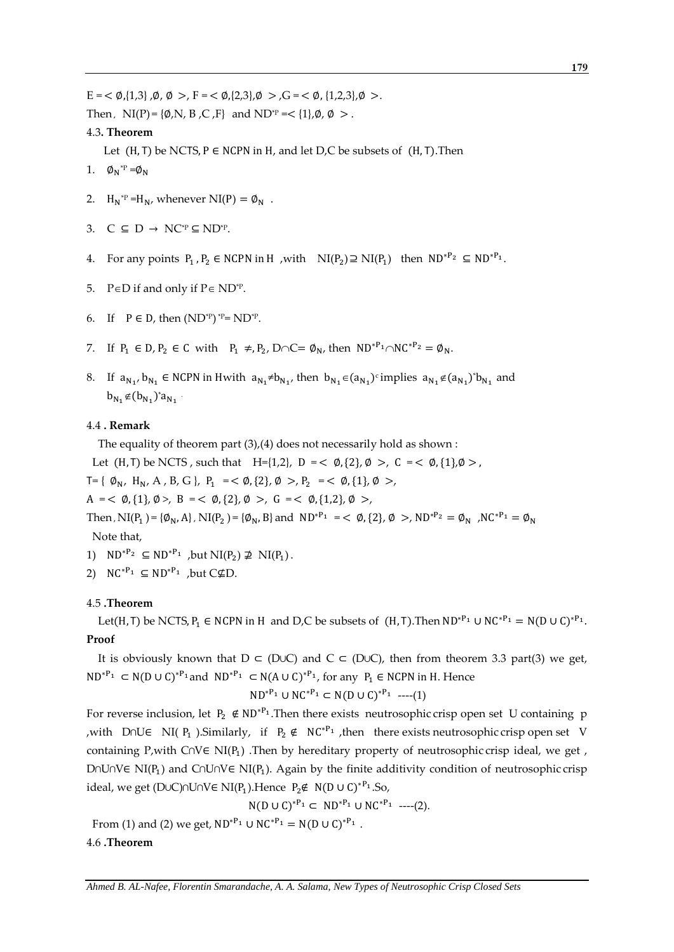$E = \langle \emptyset, \{1,3\}, \emptyset, \emptyset \rangle, F = \langle \emptyset, \{2,3\}, \emptyset \rangle, G = \langle \emptyset, \{1,2,3\}, \emptyset \rangle.$ Then,  $NI(P) = \{\emptyset, N, B, C, F\}$  and  $ND^*P = \{1\}, \emptyset, \emptyset >$ .

### 4.3**. Theorem**

Let  $(H, T)$  be NCTS, P  $\in$  NCPN in H, and let D,C be subsets of  $(H, T)$ . Then

- 1.  $\phi_N^{\text{P}} = \phi_N$
- 2.  $H_N^* = H_N$ , whenever  $NI(P) = \emptyset_N$ .
- 3.  $C \subseteq D \rightarrow NC^{*p} \subseteq ND^{*p}$ .
- 4. For any points  $P_1$ ,  $P_2 \in \text{NCPN}$  in H , with  $\text{NI}(P_2) \supseteq \text{NI}(P_1)$  then  $\text{ND}^{*P_2} \subseteq \text{ND}^{*P_1}$ .
- 5.  $P \in D$  if and only if  $P \in ND^{*p}$ .
- 6. If  $P \in D$ , then  $(ND^{\ast}P)^{\ast}P = ND^{\ast}P$ .
- 7. If  $P_1 \in D$ ,  $P_2 \in C$  with  $P_1 \neq P_2$ ,  $D \cap C = \emptyset_N$ , then  $ND^{*P_1} \cap NC^{*P_2} = \emptyset_N$ .
- 8. If  $a_{N_1}, b_{N_1} \in NCPN$  in Hwith  $a_{N_1} \neq b_{N_1}$ , then  $b_{N_1} \in (a_{N_1})^c$  implies  $a_{N_1} \notin (a_{N_1})^s b_{N_1}$  and  $b_{N_1} \notin (b_{N_1})^* a_{N_1}$ .

### 4.4 **. Remark**

The equality of theorem part (3),(4) does not necessarily hold as shown :

Let  $(H, T)$  be NCTS, such that  $H=\{1,2\}$ ,  $D = \langle \emptyset, \{2\}, \emptyset \rangle$ ,  $C = \langle \emptyset, \{1\}, \emptyset \rangle$ ,

 $T = \{ \emptyset_N, H_N, A, B, G \}, P_1 = \langle \emptyset, \{2\}, \emptyset \rangle, P_2 = \langle \emptyset, \{1\}, \emptyset \rangle,$ 

 $A = \langle \emptyset, \{1\}, \emptyset \rangle, B = \langle \emptyset, \{2\}, \emptyset \rangle, G = \langle \emptyset, \{1,2\}, \emptyset \rangle,$ 

Then ,  $NI(P_1) = {\phi_N, A}$ ,  $NI(P_2) = {\phi_N, B}$  and  $ND^{*P_1} = \phi_{\emptyset}$ ,  $\emptyset > N D^{*P_2} = \phi_N$ ,  $NC^{*P_1} = \phi_N$ Note that,

- 1)  $ND^{*P_2} \subseteq ND^{*P_1}$ , but  $NI(P_2) \not\supseteq NI(P_1)$ .
- 2)  $NC^{*P_1} \subseteq ND^{*P_1}$ , but  $C \not\subseteq D$ .

### 4.5 **.Theorem**

Let(H, T) be NCTS,  $P_1 \in NCPN$  in H and D,C be subsets of (H, T). Then  $ND^{*P_1} \cup NC^{*P_1} = N(D \cup C)^*$ **Proof**

It is obviously known that  $D \subset (D \cup C)$  and  $C \subset (D \cup C)$ , then from theorem 3.3 part(3) we get,  $ND^{*P_1} \subset N(D \cup C)^{*P_1}$  and  $ND^{*P_1} \subset N(A \cup C)^{*P_1}$ , for any  $P_1 \in NCPN$  in H. Hence

$$
ND^{*P_1} \cup NC^{*P_1} \subset N(D \cup C)^{*P_1} \quad \text{---}(1)
$$

For reverse inclusion, let  $P_2 \notin ND^{*P_1}$ . Then there exists, neutrosophic crisp open set, U containing, p ,with D∩U∈ NI( P<sub>1</sub>).Similarly, if P<sub>2</sub> ∉ NC<sup>\*P<sub>1</sub></sup>, then there exists neutrosophic crisp open set V containing P, with C∩V∈ NI( $P_1$ ) .Then by hereditary property of neutrosophic crisp ideal, we get, D∩U∩V∈ NI( $P_1$ ) and C∩U∩V∈ NI( $P_1$ ). Again by the finite additivity condition of neutrosophic crisp ideal, we get (D∪C)∩U∩V∈ NI(P1).Hence  $P_2 \notin N(D U C)^{*P_1}.$ So,

$$
N(D\cup C)^{*P_1} \subset ND^{*P_1} \cup NC^{*P_1}
$$
 --- (2).

From (1) and (2) we get,  $ND^{*P_1} \cup NC^{*P_1} = N(D \cup C)^{*P_1}$ .

### 4.6 **.Theorem**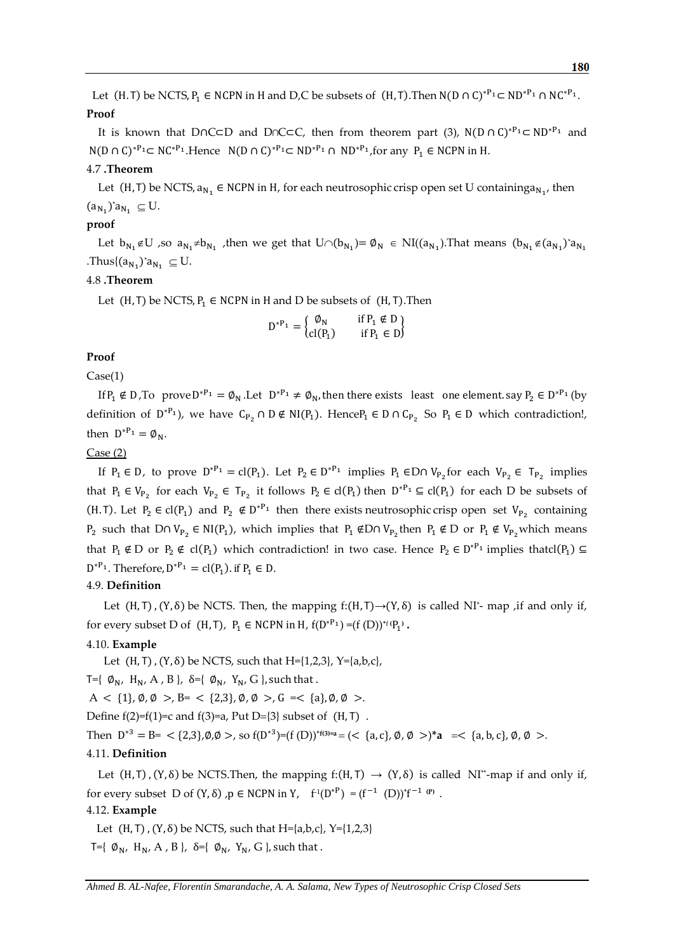Let (H. T) be NCTS,  $P_1 \in NCPN$  in H and D,C be subsets of (H, T). Then  $N(D \cap C)^{P_1} \subset ND^{P_1} \cap NC^{P_1}$ . **Proof**

It is known that D∩C⊂D and D∩C⊂C, then from theorem part (3),  $N(D \cap C)^*^{P_1} \subset ND^{P_1}$  and  $N(D \cap C)^{P_1} \subset NC^{P_1}$ . Hence  $N(D \cap C)^{P_1} \subset ND^{P_1} \cap ND^{P_1}$ , for any  $P_1 \in NCPN$  in H.

### 4.7 **.Theorem**

Let (H, T) be NCTS,  $a_{N_1} \in NCPN$  in H, for each neutrosophic crisp open set U containing  $a_{N_1}$ , then  $(a_{N_1})^* a_{N_1} \subseteq U.$ 

### **proof**

Let  $b_{N_1} \notin U$  ,so  $a_{N_1} \neq b_{N_1}$ , then we get that  $U \cap (b_{N_1}) = \emptyset_N \in NI((a_{N_1})$ . That means  $(b_{N_1} \notin (a_{N_1})^* a_{N_1})$ .Thus $\{ (a_{N_1})^* a_{N_1} \subseteq U. \}$ 

### 4.8 **.Theorem**

Let  $(H, T)$  be NCTS,  $P_1 \in NCPN$  in H and D be subsets of  $(H, T)$ . Then

$$
D^{*P_1} = \begin{cases} \emptyset_N & \text{if } P_1 \notin D \\ \text{cl}(P_1) & \text{if } P_1 \in D \end{cases}
$$

### **Proof**

### Case(1)

If  $P_1 \notin D$ , To prove  $D^{*P_1} = \emptyset_N$ . Let  $D^{*P_1} \neq \emptyset_N$ , then there exists least one element. say  $P_2 \in D^{*P_1}$  (by definition of  $D^{*P_1}$ ), we have  $C_{P_2} \cap D \notin NI(P_1)$ . Hence  $P_1 \in D \cap C_{P_2}$  So  $P_1 \in D$  which contradiction!, then  $D^{*P_1} = \emptyset_N$ .

### Case (2)

If  $P_1 \in D$ , to prove  $D^{*P_1} = cl(P_1)$ . Let  $P_2 \in D^{*P_1}$  implies  $P_1 \in D \cap V_{P_2}$  for each  $V_{P_2} \in T_{P_2}$  implies that  $P_1 \in V_{P_2}$  for each  $V_{P_2} \in T_{P_2}$  it follows  $P_2 \in cl(P_1)$  then  $D^{*P_1} \subseteq cl(P_1)$  for each D be subsets of (H. T). Let  $P_2 \in cl(P_1)$  and  $P_2 \notin D^{*P_1}$  then there exists neutrosophic crisp open set  $V_{P_2}$  containing  $P_2$  such that D∩  $V_{P_2} \in NI(P_1)$ , which implies that  $P_1 \notin D \cap V_{P_2}$  then  $P_1 \notin D$  or  $P_1 \notin V_{P_2}$  which means that  $P_1 \notin D$  or  $P_2 \notin cl(P_1)$  which contradiction! in two case. Hence  $P_2 \in D^{*P_1}$  implies thatcl $(P_1) \subseteq$  $D^{*P_1}$ . Therefore,  $D^{*P_1} = cl(P_1)$ . if  $P_1 \in D$ .

### 4.9. **Definition**

Let  $(H, T)$ ,  $(Y, \delta)$  be NCTS. Then, the mapping f: $(H, T) \rightarrow (Y, \delta)$  is called NI<sup>\*</sup>- map ,if and only if, for every subset D of  $(H, T)$ ,  $P_1 \in NCPN$  in  $H$ ,  $f(D^{*P_1}) = (f(D))^{*f(P_1)}$ .

### 4.10. **Example**

Let  $(H, T)$ ,  $(Y, \delta)$  be NCTS, such that H={1,2,3}, Y={a,b,c},

T={ $\emptyset_{N}$ , H<sub>N</sub>, A, B},  $\delta$ ={ $\emptyset_{N}$ , Y<sub>N</sub>, G}, such that.

 $A < \{1\}, \emptyset, \emptyset > B = \{2, 3\}, \emptyset, \emptyset > G = \{a\}, \emptyset, \emptyset > G$ .

Define  $f(2)=f(1)=c$  and  $f(3)=a$ , Put D={3} subset of  $(H, T)$ .

Then  $D^{*3} = B = \langle {2,3}, 0, 0 \rangle$ , so  $f(D^{*3}) = (f(D))^{*(3)=a} = (\langle a, c \rangle, 0, 0 \rangle^* a = \langle a, b, c \rangle, 0, 0 \rangle$ .

### 4.11. **Definition**

Let  $(H, T)$ ,  $(Y, \delta)$  be NCTS.Then, the mapping  $f: (H, T) \rightarrow (Y, \delta)$  is called NI<sup>\*\*</sup>-map if and only if, for every subset D of  $(Y, \delta)$ ,  $p \in NCPN$  in  $Y$ ,  $f^1(D^{*P}) = (f^{-1} (D))^{*}f^{-1 (P)}$ .

### 4.12. **Example**

Let  $(H, T)$ ,  $(Y, \delta)$  be NCTS, such that H={a,b,c}, Y={1,2,3}  $T=\{ \emptyset_N, H_N, A, B \}$ ,  $\delta = \{ \emptyset_N, Y_N, G \}$ , such that.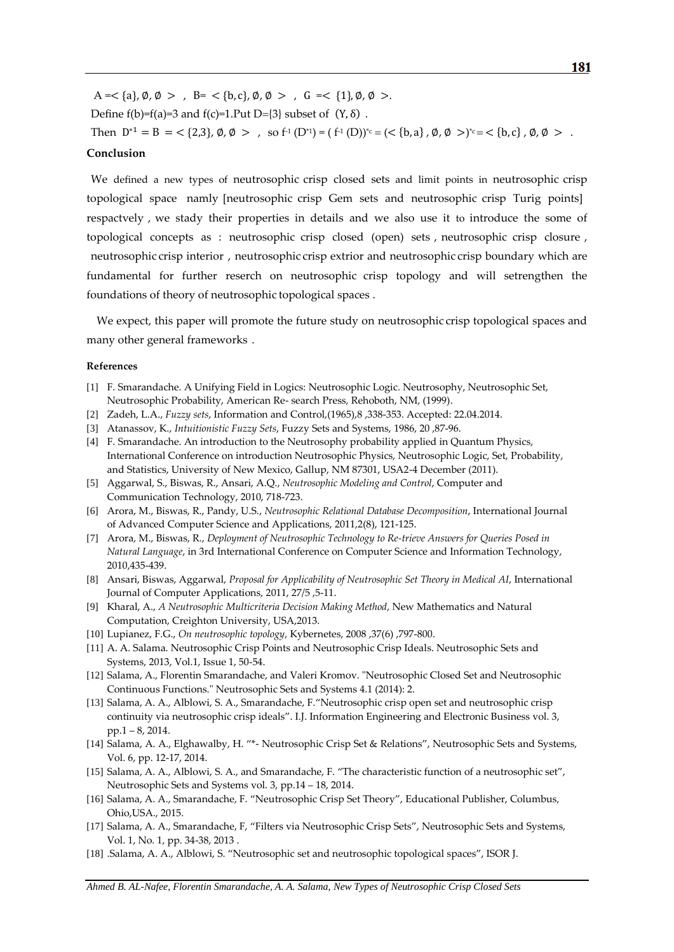$A = \{a\}, \emptyset, \emptyset > \emptyset$  ,  $B = \{b, c\}, \emptyset, \emptyset > \emptyset$  ,  $G = \{1\}, \emptyset, \emptyset > \emptyset$ Define  $f(b)=f(a)=3$  and  $f(c)=1.Put D=\{3\}$  subset of  $(Y, \delta)$ . Then  $D^{*1} = B = \langle 2,3 \rangle, \emptyset, \emptyset > , \text{ so } f^{\text{-1}}(D^{*1}) = (f^{\text{-1}}(D))^{*c} = (\langle \{b,a\}, \emptyset, \emptyset >)^{*c} = \langle \{b,c\}, \emptyset, \emptyset > .$ 

### **Conclusion**

We defined a new types of neutrosophic crisp closed sets and limit points in neutrosophic crisp topological space, namly [neutrosophic crisp Gem sets and neutrosophic crisp Turig points] respactvely, we stady their properties in details and we also use it to introduce the some of topological concepts as : neutrosophic crisp closed (open) sets, neutrosophic crisp closure, neutrosophic crisp interior, neutrosophic crisp extrior and neutrosophic crisp boundary which are fundamental for further reserch on neutrosophic crisp topology and will setrengthen the foundations of theory of neutrosophic topological spaces .

We expect, this paper will promote the future study on neutrosophic crisp topological spaces and many other general frameworks.

### **References**

- [1] F. Smarandache. A Unifying Field in Logics: Neutrosophic Logic. Neutrosophy, Neutrosophic Set, Neutrosophic Probability, American Re- search Press, Rehoboth, NM, (1999).
- [2] Zadeh, L.A., *Fuzzy sets*, Information and Control,(1965),8 ,338-353. Accepted: 22.04.2014.
- [3] Atanassov, K., *Intuitionistic Fuzzy Sets*, Fuzzy Sets and Systems, 1986, 20 ,87-96.
- [4] F. Smarandache. An introduction to the Neutrosophy probability applied in Quantum Physics, International Conference on introduction Neutrosophic Physics, Neutrosophic Logic, Set, Probability, and Statistics, University of New Mexico, Gallup, NM 87301, USA2-4 December (2011).
- [5] Aggarwal, S., Biswas, R., Ansari, A.Q., *Neutrosophic Modeling and Control*, Computer and Communication Technology, 2010, 718-723.
- [6] Arora, M., Biswas, R., Pandy, U.S., *Neutrosophic Relational Database Decomposition*, International Journal of Advanced Computer Science and Applications, 2011,2(8), 121-125.
- [7] Arora, M., Biswas, R., *Deployment of Neutrosophic Technology to Re-trieve Answers for Queries Posed in Natural Language*, in 3rd International Conference on Computer Science and Information Technology, 2010,435-439.
- [8] Ansari, Biswas, Aggarwal, *Proposal for Applicability of Neutrosophic Set Theory in Medical AI*, International Journal of Computer Applications, 2011, 27/5 ,5-11.
- [9] Kharal, A., *A Neutrosophic Multicriteria Decision Making Method*, New Mathematics and Natural Computation, Creighton University, USA,2013.
- [10] Lupianez, F.G., *On neutrosophic topology*, Kybernetes, 2008 ,37(6) ,797-800.
- [11] A. A. Salama. Neutrosophic Crisp Points and Neutrosophic Crisp Ideals. Neutrosophic Sets and Systems, 2013, Vol.1, Issue 1, 50-54.
- [12] Salama, A., Florentin Smarandache, and Valeri Kromov. "Neutrosophic Closed Set and Neutrosophic Continuous Functions." Neutrosophic Sets and Systems 4.1 (2014): 2.
- [13] Salama, A. A., Alblowi, S. A., Smarandache, F."Neutrosophic crisp open set and neutrosophic crisp continuity via neutrosophic crisp ideals". I.J. Information Engineering and Electronic Business vol. 3, pp.1 – 8, 2014.
- [14] Salama, A. A., Elghawalby, H. "\*- Neutrosophic Crisp Set & Relations", Neutrosophic Sets and Systems, Vol. 6, pp. 12-17, 2014.
- [15] Salama, A. A., Alblowi, S. A., and Smarandache, F. "The characteristic function of a neutrosophic set", Neutrosophic Sets and Systems vol. 3, pp.14 – 18, 2014.
- [16] Salama, A. A., Smarandache, F. "Neutrosophic Crisp Set Theory", Educational Publisher, Columbus, Ohio,USA., 2015.
- [17] Salama, A. A., Smarandache, F, "Filters via Neutrosophic Crisp Sets", Neutrosophic Sets and Systems, Vol. 1, No. 1, pp. 34-38, 2013 .
- [18] .Salama, A. A., Alblowi, S. "Neutrosophic set and neutrosophic topological spaces", ISOR J.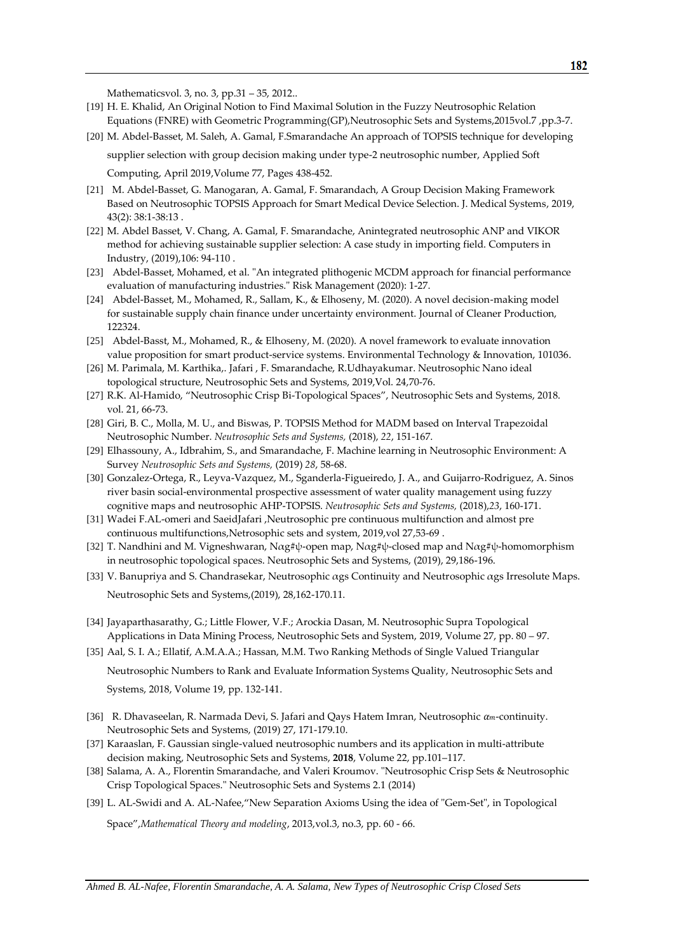Mathematicsvol. 3, no. 3, pp.31 – 35, 2012..

- [19] H. E. Khalid, An Original Notion to Find Maximal Solution in the Fuzzy Neutrosophic Relation Equations (FNRE) with Geometric Programming(GP), Neutrosophic Sets and Systems, 2015vol.7, pp.3-7.
- [20] [M. Abdel-Basset,](https://www.sciencedirect.com/science/article/pii/S1568494619300419#!) [M. Saleh,](https://www.sciencedirect.com/science/article/pii/S1568494619300419#!) [A. Gamal, F.Smarandache](https://www.sciencedirect.com/science/article/pii/S1568494619300419#!) An approach of TOPSIS technique for developing

supplier selection with group decision making under type-2 neutrosophic number, Applied Soft Computing, April 201[9,Volume 77,](https://www.sciencedirect.com/science/journal/15684946/77/supp/C) Pages 438-452.

- [21] M. Abdel-Basset, G. Manogaran, A. Gamal, F. Smarandach, A Group Decision Making Framework Based on Neutrosophic TOPSIS Approach for Smart Medical Device Selection. J. Medical Systems, 2019, 43(2): 38:1-38:13 .
- [22] M. Abdel Basset, V. Chang, A. Gamal, F. Smarandache, Anintegrated neutrosophic ANP and VIKOR method for achieving sustainable supplier selection: A case study in importing field. Computers in Industry, (2019),106: 94-110 .
- [23] Abdel-Basset, Mohamed, et al. "An integrated plithogenic MCDM approach for financial performance evaluation of manufacturing industries." Risk Management (2020): 1-27.
- [24] Abdel-Basset, M., Mohamed, R., Sallam, K., & Elhoseny, M. (2020). A novel decision-making model for sustainable supply chain finance under uncertainty environment. Journal of Cleaner Production, 122324.
- [25] Abdel-Basst, M., Mohamed, R., & Elhoseny, M. (2020). A novel framework to evaluate innovation value proposition for smart product-service systems. Environmental Technology & Innovation, 101036.
- [26] M. Parimala, M. Karthika,. Jafari , F. Smarandache, R.Udhayakumar. Neutrosophic Nano ideal topological structure, Neutrosophic Sets and Systems, 2019,Vol. 24,70-76.
- [27] R.K. Al-Hamido, "Neutrosophic Crisp Bi-Topological Spaces", Neutrosophic Sets and Systems, 2018. vol. 21, 66-73.
- [28] Giri, B. C., Molla, M. U., and Biswas, P. TOPSIS Method for MADM based on Interval Trapezoidal Neutrosophic Number. *Neutrosophic Sets and Systems,* (2018), *22*, 151-167.
- [29] Elhassouny, A., Idbrahim, S., and Smarandache, F. Machine learning in Neutrosophic Environment: A Survey *Neutrosophic Sets and Systems,* (2019) *28*, 58-68.
- [30] Gonzalez-Ortega, R., Leyva-Vazquez, M., Sganderla-Figueiredo, J. A., and Guijarro-Rodriguez, A. Sinos river basin social-environmental prospective assessment of water quality management using fuzzy cognitive maps and neutrosophic AHP-TOPSIS. *Neutrosophic Sets and Systems,* (2018),*23*, 160-171.
- [31] Wadei F.AL-omeri and SaeidJafari ,Neutrosophic pre continuous multifunction and almost pre continuous multifunctions,Netrosophic sets and system, 2019,vol 27,53-69 .
- [32] T. Nandhini and M. Vigneshwaran, Nαg#ψ-open map, Nαg#ψ-closed map and Nαg#ψ-homomorphism in neutrosophic topological spaces. Neutrosophic Sets and Systems, (2019), 29,186-196.
- [33] V. Banupriya and S. Chandrasekar, Neutrosophic αgs Continuity and Neutrosophic αgs Irresolute Maps. Neutrosophic Sets and Systems,(2019), 28,162-170.11.
- [34] Jayaparthasarathy, G.; Little Flower, V.F.; Arockia Dasan, M. Neutrosophic Supra Topological Applications in Data Mining Process, Neutrosophic Sets and System, 2019, Volume 27, pp. 80 – 97.
- [35] Aal, S. I. A.; Ellatif, A.M.A.A.; Hassan, M.M. Two Ranking Methods of Single Valued Triangular Neutrosophic Numbers to Rank and Evaluate Information Systems Quality, Neutrosophic Sets and Systems, 2018, Volume 19, pp. 132-141.
- [36] R. Dhavaseelan, R. Narmada Devi, S. Jafari and Qays Hatem Imran, Neutrosophic  $\alpha_m$ -continuity. Neutrosophic Sets and Systems, (2019) 27, 171-179.10.
- [37] Karaaslan, F. Gaussian single-valued neutrosophic numbers and its application in multi-attribute decision making, Neutrosophic Sets and Systems, **2018**, Volume 22, pp.101–117.
- [38] Salama, A. A., Florentin Smarandache, and Valeri Kroumov. "Neutrosophic Crisp Sets & Neutrosophic Crisp Topological Spaces." Neutrosophic Sets and Systems 2.1 (2014)
- [39] L. AL-Swidi and A. AL-Nafee,"New Separation Axioms Using the idea of "Gem-Set", in Topological

Space",*Mathematical Theory and modeling*, 2013,vol.3, no.3, pp. 60 - 66.